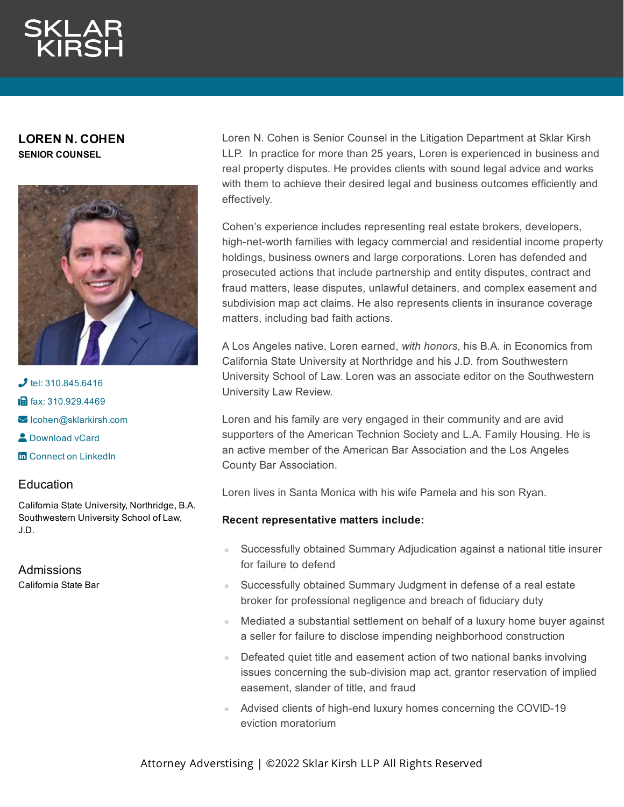## **LOREN N. COHEN SENIOR COUNSEL**



 $J$  tel: [310.845.6416](tel:310.845.6416) **in** fax: [310.929.4469](fax:310.929.4469)  $\blacktriangleright$  Icohen@sklarkirsh.com **2** [Download](https://www.sklarkirsh.com/api/vcard?firstName=Loren&lastName=Cohen&email=lcohen@sklarkirsh.com&position=SENIOR%20COUNSEL&company=Sklar%20Kirsh%20LLP&phone=310.845.6416&fax=310.929.4469&address1=1880%20Century%20Park%20East,%20Ste%20300&city=Los%20Angeles&state=CA&zip=90067&country=US&image=https%253A%252F%252Fres.cloudinary.com%252Fsklar-kirsh-main%252Fimages%252F%252Ff_auto%252Cq_auto%252Fv1644340941%252FCohen_Loren_web-e1630353932829%252FCohen_Loren_web-e1630353932829.jpg%253F_i%253DAA&) vCard **m** Connect on [LinkedIn](https://www.linkedin.com/in/loren-cohen-88b69a1a5/)

## **Education**

California State University, Northridge, B.A. Southwestern University School of Law, J.D.

Admissions

California State Bar

Loren N. Cohen is Senior Counsel in the Litigation Department at Sklar Kirsh LLP. In practice for more than 25 years, Loren is experienced in business and real property disputes. He provides clients with sound legal advice and works with them to achieve their desired legal and business outcomes efficiently and effectively.

Cohen's experience includes representing real estate brokers, developers, high-net-worth families with legacy commercial and residential income property holdings, business owners and large corporations. Loren has defended and prosecuted actions that include partnership and entity disputes, contract and fraud matters, lease disputes, unlawful detainers, and complex easement and subdivision map act claims. He also represents clients in insurance coverage matters, including bad faith actions.

A Los Angeles native, Loren earned, *with honors*, his B.A. in Economics from California State University at Northridge and his J.D. from Southwestern University School of Law. Loren was an associate editor on the Southwestern University Law Review.

Loren and his family are very engaged in their community and are avid supporters of the American Technion Society and L.A. Family Housing. He is an active member of the American Bar Association and the Los Angeles County Bar Association.

Loren lives in Santa Monica with his wife Pamela and his son Ryan.

## **Recent representative matters include:**

- Successfully obtained Summary Adjudication against a national title insurer  $\mathbb{R}^2$ for failure to defend
- Successfully obtained Summary Judgment in defense of a real estate broker for professional negligence and breach of fiduciary duty
- Mediated a substantial settlement on behalf of a luxury home buyer against a seller for failure to disclose impending neighborhood construction
- Defeated quiet title and easement action of two national banks involving a. issues concerning the sub-division map act, grantor reservation of implied easement, slander of title, and fraud
- Advised clients of high-end luxury homes concerning the COVID-19 eviction moratorium